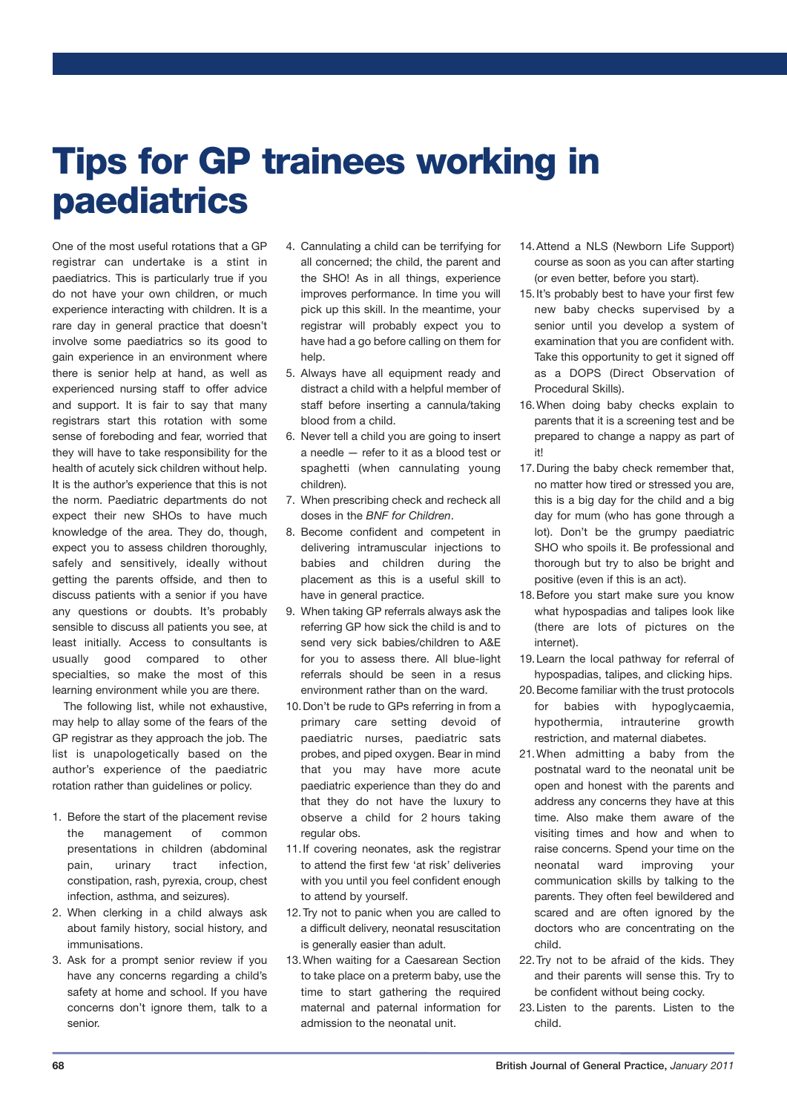## **Tips for GP trainees working in paediatrics**

One of the most useful rotations that a GP registrar can undertake is a stint in paediatrics. This is particularly true if you do not have your own children, or much experience interacting with children. It is a rare day in general practice that doesn't involve some paediatrics so its good to gain experience in an environment where there is senior help at hand, as well as experienced nursing staff to offer advice and support. It is fair to say that many registrars start this rotation with some sense of foreboding and fear, worried that they will have to take responsibility for the health of acutely sick children without help. It is the author's experience that this is not the norm. Paediatric departments do not expect their new SHOs to have much knowledge of the area. They do, though, expect you to assess children thoroughly, safely and sensitively, ideally without getting the parents offside, and then to discuss patients with a senior if you have any questions or doubts. It's probably sensible to discuss all patients you see, at least initially. Access to consultants is usually good compared to other specialties, so make the most of this learning environment while you are there.

The following list, while not exhaustive, may help to allay some of the fears of the GP registrar as they approach the job. The list is unapologetically based on the author's experience of the paediatric rotation rather than guidelines or policy.

- 1. Before the start of the placement revise the management of common presentations in children (abdominal pain, urinary tract infection, constipation, rash, pyrexia, croup, chest infection, asthma, and seizures).
- 2. When clerking in a child always ask about family history, social history, and immunisations.
- 3. Ask for a prompt senior review if you have any concerns regarding a child's safety at home and school. If you have concerns don't ignore them, talk to a senior.
- 4. Cannulating a child can be terrifying for all concerned; the child, the parent and the SHO! As in all things, experience improves performance. In time you will pick up this skill. In the meantime, your registrar will probably expect you to have had a go before calling on them for help.
- 5. Always have all equipment ready and distract a child with a helpful member of staff before inserting a cannula/taking blood from a child.
- 6. Never tell a child you are going to insert a needle — refer to it as a blood test or spaghetti (when cannulating young children).
- 7. When prescribing check and recheck all doses in the *BNF for Children*.
- 8. Become confident and competent in delivering intramuscular injections to babies and children during the placement as this is a useful skill to have in general practice.
- 9. When taking GP referrals always ask the referring GP how sick the child is and to send very sick babies/children to A&E for you to assess there. All blue-light referrals should be seen in a resus environment rather than on the ward.
- 10.Don't be rude to GPs referring in from a primary care setting devoid of paediatric nurses, paediatric sats probes, and piped oxygen. Bear in mind that you may have more acute paediatric experience than they do and that they do not have the luxury to observe a child for 2 hours taking regular obs.
- 11.If covering neonates, ask the registrar to attend the first few 'at risk' deliveries with you until you feel confident enough to attend by yourself.
- 12.Try not to panic when you are called to a difficult delivery, neonatal resuscitation is generally easier than adult.
- 13.When waiting for a Caesarean Section to take place on a preterm baby, use the time to start gathering the required maternal and paternal information for admission to the neonatal unit.
- 14.Attend a NLS (Newborn Life Support) course as soon as you can after starting (or even better, before you start).
- 15.It's probably best to have your first few new baby checks supervised by a senior until you develop a system of examination that you are confident with. Take this opportunity to get it signed off as a DOPS (Direct Observation of Procedural Skills).
- 16.When doing baby checks explain to parents that it is a screening test and be prepared to change a nappy as part of it!
- 17.During the baby check remember that, no matter how tired or stressed you are, this is a big day for the child and a big day for mum (who has gone through a lot). Don't be the grumpy paediatric SHO who spoils it. Be professional and thorough but try to also be bright and positive (even if this is an act).
- 18.Before you start make sure you know what hypospadias and talipes look like (there are lots of pictures on the internet).
- 19.Learn the local pathway for referral of hypospadias, talipes, and clicking hips.
- 20.Become familiar with the trust protocols for babies with hypoglycaemia, hypothermia, intrauterine growth restriction, and maternal diabetes.
- 21.When admitting a baby from the postnatal ward to the neonatal unit be open and honest with the parents and address any concerns they have at this time. Also make them aware of the visiting times and how and when to raise concerns. Spend your time on the neonatal ward improving your communication skills by talking to the parents. They often feel bewildered and scared and are often ignored by the doctors who are concentrating on the child.
- 22.Try not to be afraid of the kids. They and their parents will sense this. Try to be confident without being cocky.
- 23.Listen to the parents. Listen to the child.